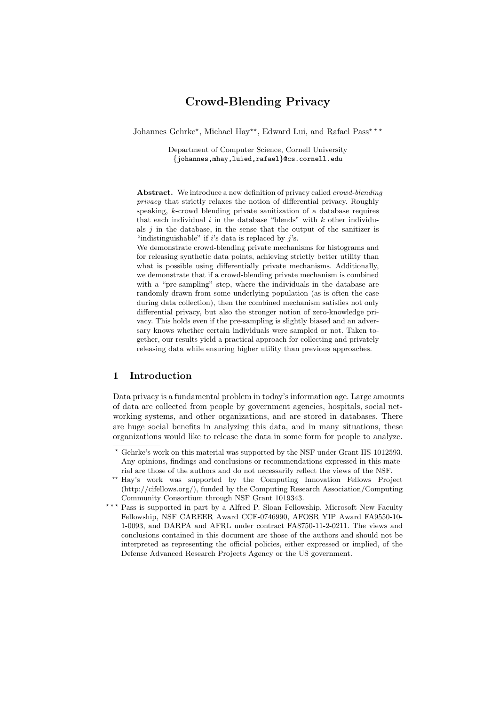# Crowd-Blending Privacy

Johannes Gehrke\*, Michael Hay\*\*, Edward Lui, and Rafael Pass\*\*\*

Department of Computer Science, Cornell University {johannes,mhay,luied,rafael}@cs.cornell.edu

Abstract. We introduce a new definition of privacy called crowd-blending privacy that strictly relaxes the notion of differential privacy. Roughly speaking, k-crowd blending private sanitization of a database requires that each individual  $i$  in the database "blends" with  $k$  other individuals  $j$  in the database, in the sense that the output of the sanitizer is "indistinguishable" if  $i$ 's data is replaced by  $j$ 's.

We demonstrate crowd-blending private mechanisms for histograms and for releasing synthetic data points, achieving strictly better utility than what is possible using differentially private mechanisms. Additionally, we demonstrate that if a crowd-blending private mechanism is combined with a "pre-sampling" step, where the individuals in the database are randomly drawn from some underlying population (as is often the case during data collection), then the combined mechanism satisfies not only differential privacy, but also the stronger notion of zero-knowledge privacy. This holds even if the pre-sampling is slightly biased and an adversary knows whether certain individuals were sampled or not. Taken together, our results yield a practical approach for collecting and privately releasing data while ensuring higher utility than previous approaches.

## 1 Introduction

Data privacy is a fundamental problem in today's information age. Large amounts of data are collected from people by government agencies, hospitals, social networking systems, and other organizations, and are stored in databases. There are huge social benefits in analyzing this data, and in many situations, these organizations would like to release the data in some form for people to analyze.

<sup>?</sup> Gehrke's work on this material was supported by the NSF under Grant IIS-1012593. Any opinions, findings and conclusions or recommendations expressed in this material are those of the authors and do not necessarily reflect the views of the NSF.

<sup>\*\*</sup> Hav's work was supported by the Computing Innovation Fellows Project (http://cifellows.org/), funded by the Computing Research Association/Computing Community Consortium through NSF Grant 1019343.

<sup>\*\*\*</sup> Pass is supported in part by a Alfred P. Sloan Fellowship, Microsoft New Faculty Fellowship, NSF CAREER Award CCF-0746990, AFOSR YIP Award FA9550-10- 1-0093, and DARPA and AFRL under contract FA8750-11-2-0211. The views and conclusions contained in this document are those of the authors and should not be interpreted as representing the official policies, either expressed or implied, of the Defense Advanced Research Projects Agency or the US government.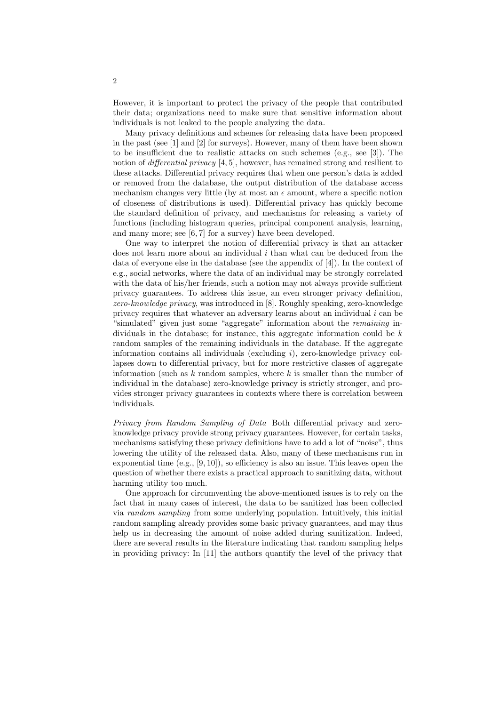However, it is important to protect the privacy of the people that contributed their data; organizations need to make sure that sensitive information about individuals is not leaked to the people analyzing the data.

Many privacy definitions and schemes for releasing data have been proposed in the past (see [1] and [2] for surveys). However, many of them have been shown to be insufficient due to realistic attacks on such schemes (e.g., see [3]). The notion of differential privacy [4, 5], however, has remained strong and resilient to these attacks. Differential privacy requires that when one person's data is added or removed from the database, the output distribution of the database access mechanism changes very little (by at most an  $\epsilon$  amount, where a specific notion of closeness of distributions is used). Differential privacy has quickly become the standard definition of privacy, and mechanisms for releasing a variety of functions (including histogram queries, principal component analysis, learning, and many more; see [6, 7] for a survey) have been developed.

One way to interpret the notion of differential privacy is that an attacker does not learn more about an individual  $i$  than what can be deduced from the data of everyone else in the database (see the appendix of [4]). In the context of e.g., social networks, where the data of an individual may be strongly correlated with the data of his/her friends, such a notion may not always provide sufficient privacy guarantees. To address this issue, an even stronger privacy definition, zero-knowledge privacy, was introduced in [8]. Roughly speaking, zero-knowledge privacy requires that whatever an adversary learns about an individual  $i$  can be "simulated" given just some "aggregate" information about the remaining individuals in the database; for instance, this aggregate information could be  $k$ random samples of the remaining individuals in the database. If the aggregate information contains all individuals (excluding i), zero-knowledge privacy collapses down to differential privacy, but for more restrictive classes of aggregate information (such as k random samples, where  $k$  is smaller than the number of individual in the database) zero-knowledge privacy is strictly stronger, and provides stronger privacy guarantees in contexts where there is correlation between individuals.

Privacy from Random Sampling of Data Both differential privacy and zeroknowledge privacy provide strong privacy guarantees. However, for certain tasks, mechanisms satisfying these privacy definitions have to add a lot of "noise", thus lowering the utility of the released data. Also, many of these mechanisms run in exponential time  $(e.g., [9, 10])$ , so efficiency is also an issue. This leaves open the question of whether there exists a practical approach to sanitizing data, without harming utility too much.

One approach for circumventing the above-mentioned issues is to rely on the fact that in many cases of interest, the data to be sanitized has been collected via random sampling from some underlying population. Intuitively, this initial random sampling already provides some basic privacy guarantees, and may thus help us in decreasing the amount of noise added during sanitization. Indeed, there are several results in the literature indicating that random sampling helps in providing privacy: In [11] the authors quantify the level of the privacy that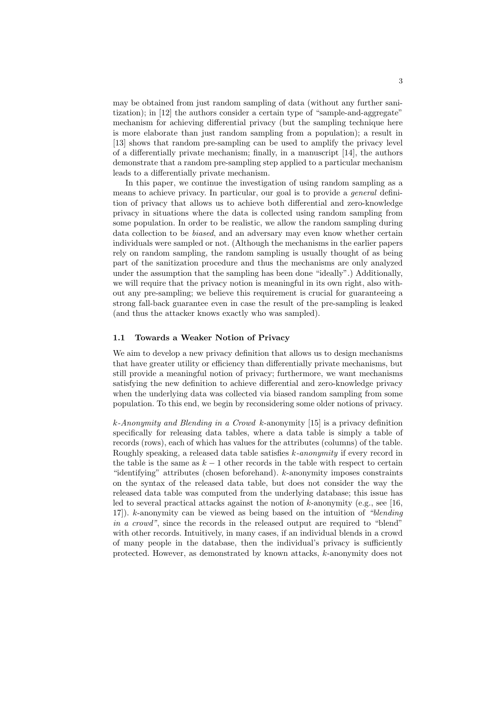may be obtained from just random sampling of data (without any further sanitization); in [12] the authors consider a certain type of "sample-and-aggregate" mechanism for achieving differential privacy (but the sampling technique here is more elaborate than just random sampling from a population); a result in [13] shows that random pre-sampling can be used to amplify the privacy level of a differentially private mechanism; finally, in a manuscript [14], the authors demonstrate that a random pre-sampling step applied to a particular mechanism leads to a differentially private mechanism.

In this paper, we continue the investigation of using random sampling as a means to achieve privacy. In particular, our goal is to provide a *general* definition of privacy that allows us to achieve both differential and zero-knowledge privacy in situations where the data is collected using random sampling from some population. In order to be realistic, we allow the random sampling during data collection to be biased, and an adversary may even know whether certain individuals were sampled or not. (Although the mechanisms in the earlier papers rely on random sampling, the random sampling is usually thought of as being part of the sanitization procedure and thus the mechanisms are only analyzed under the assumption that the sampling has been done "ideally".) Additionally, we will require that the privacy notion is meaningful in its own right, also without any pre-sampling; we believe this requirement is crucial for guaranteeing a strong fall-back guarantee even in case the result of the pre-sampling is leaked (and thus the attacker knows exactly who was sampled).

#### 1.1 Towards a Weaker Notion of Privacy

We aim to develop a new privacy definition that allows us to design mechanisms that have greater utility or efficiency than differentially private mechanisms, but still provide a meaningful notion of privacy; furthermore, we want mechanisms satisfying the new definition to achieve differential and zero-knowledge privacy when the underlying data was collected via biased random sampling from some population. To this end, we begin by reconsidering some older notions of privacy.

k-Anonymity and Blending in a Crowd k-anonymity [15] is a privacy definition specifically for releasing data tables, where a data table is simply a table of records (rows), each of which has values for the attributes (columns) of the table. Roughly speaking, a released data table satisfies k-anonymity if every record in the table is the same as  $k - 1$  other records in the table with respect to certain "identifying" attributes (chosen beforehand).  $k$ -anonymity imposes constraints on the syntax of the released data table, but does not consider the way the released data table was computed from the underlying database; this issue has led to several practical attacks against the notion of  $k$ -anonymity (e.g., see [16, 17]). k-anonymity can be viewed as being based on the intuition of "blending in a crowd", since the records in the released output are required to "blend" with other records. Intuitively, in many cases, if an individual blends in a crowd of many people in the database, then the individual's privacy is sufficiently protected. However, as demonstrated by known attacks, k-anonymity does not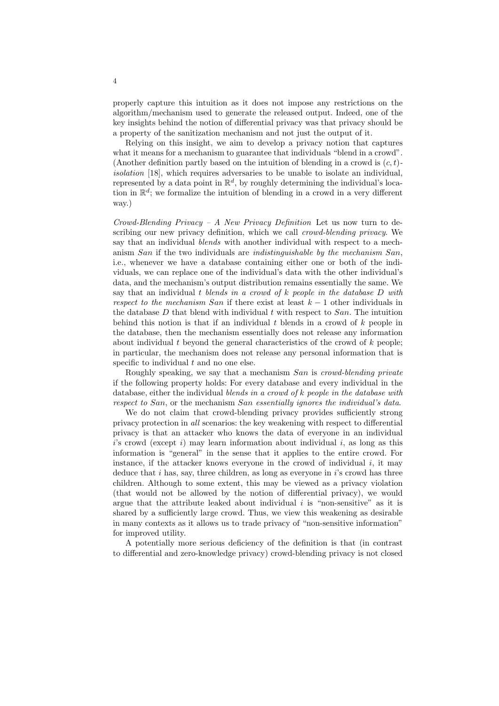properly capture this intuition as it does not impose any restrictions on the algorithm/mechanism used to generate the released output. Indeed, one of the key insights behind the notion of differential privacy was that privacy should be a property of the sanitization mechanism and not just the output of it.

Relying on this insight, we aim to develop a privacy notion that captures what it means for a mechanism to guarantee that individuals "blend in a crowd". (Another definition partly based on the intuition of blending in a crowd is  $(c, t)$ isolation [18], which requires adversaries to be unable to isolate an individual, represented by a data point in  $\mathbb{R}^d$ , by roughly determining the individual's location in  $\mathbb{R}^d$ ; we formalize the intuition of blending in a crowd in a very different way.)

Crowd-Blending Privacy – A New Privacy Definition Let us now turn to describing our new privacy definition, which we call *crowd-blending privacy*. We say that an individual *blends* with another individual with respect to a mechanism San if the two individuals are indistinguishable by the mechanism San, i.e., whenever we have a database containing either one or both of the individuals, we can replace one of the individual's data with the other individual's data, and the mechanism's output distribution remains essentially the same. We say that an individual  $t$  blends in a crowd of  $k$  people in the database  $D$  with respect to the mechanism San if there exist at least  $k - 1$  other individuals in the database  $D$  that blend with individual  $t$  with respect to  $San$ . The intuition behind this notion is that if an individual  $t$  blends in a crowd of  $k$  people in the database, then the mechanism essentially does not release any information about individual  $t$  beyond the general characteristics of the crowd of  $k$  people; in particular, the mechanism does not release any personal information that is specific to individual  $t$  and no one else.

Roughly speaking, we say that a mechanism San is crowd-blending private if the following property holds: For every database and every individual in the database, either the individual blends in a crowd of  $k$  people in the database with respect to San, or the mechanism San essentially ignores the individual's data.

We do not claim that crowd-blending privacy provides sufficiently strong privacy protection in all scenarios: the key weakening with respect to differential privacy is that an attacker who knows the data of everyone in an individual  $i$ 's crowd (except i) may learn information about individual i, as long as this information is "general" in the sense that it applies to the entire crowd. For instance, if the attacker knows everyone in the crowd of individual  $i$ , it may deduce that  $i$  has, say, three children, as long as everyone in  $i$ 's crowd has three children. Although to some extent, this may be viewed as a privacy violation (that would not be allowed by the notion of differential privacy), we would argue that the attribute leaked about individual  $i$  is "non-sensitive" as it is shared by a sufficiently large crowd. Thus, we view this weakening as desirable in many contexts as it allows us to trade privacy of "non-sensitive information" for improved utility.

A potentially more serious deficiency of the definition is that (in contrast to differential and zero-knowledge privacy) crowd-blending privacy is not closed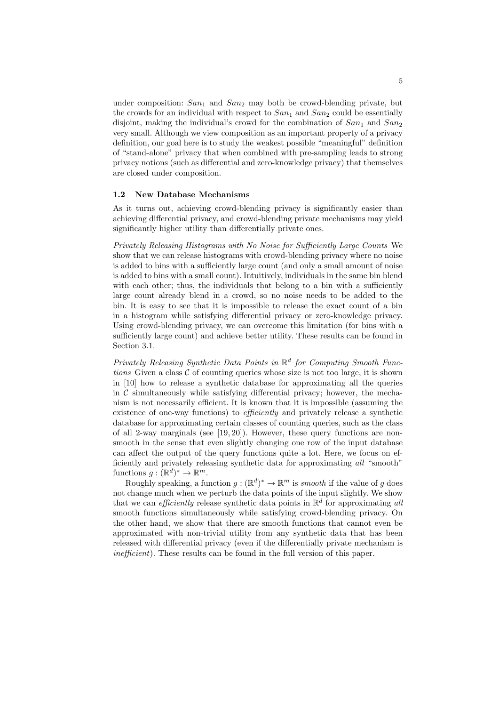under composition:  $San_1$  and  $San_2$  may both be crowd-blending private, but the crowds for an individual with respect to  $San_1$  and  $San_2$  could be essentially disjoint, making the individual's crowd for the combination of  $San_1$  and  $San_2$ very small. Although we view composition as an important property of a privacy definition, our goal here is to study the weakest possible "meaningful" definition of "stand-alone" privacy that when combined with pre-sampling leads to strong privacy notions (such as differential and zero-knowledge privacy) that themselves are closed under composition.

#### 1.2 New Database Mechanisms

As it turns out, achieving crowd-blending privacy is significantly easier than achieving differential privacy, and crowd-blending private mechanisms may yield significantly higher utility than differentially private ones.

Privately Releasing Histograms with No Noise for Sufficiently Large Counts We show that we can release histograms with crowd-blending privacy where no noise is added to bins with a sufficiently large count (and only a small amount of noise is added to bins with a small count). Intuitively, individuals in the same bin blend with each other; thus, the individuals that belong to a bin with a sufficiently large count already blend in a crowd, so no noise needs to be added to the bin. It is easy to see that it is impossible to release the exact count of a bin in a histogram while satisfying differential privacy or zero-knowledge privacy. Using crowd-blending privacy, we can overcome this limitation (for bins with a sufficiently large count) and achieve better utility. These results can be found in Section 3.1.

Privately Releasing Synthetic Data Points in  $\mathbb{R}^d$  for Computing Smooth Functions Given a class  $C$  of counting queries whose size is not too large, it is shown in [10] how to release a synthetic database for approximating all the queries in  $\mathcal C$  simultaneously while satisfying differential privacy; however, the mechanism is not necessarily efficient. It is known that it is impossible (assuming the existence of one-way functions) to *efficiently* and privately release a synthetic database for approximating certain classes of counting queries, such as the class of all 2-way marginals (see [19, 20]). However, these query functions are nonsmooth in the sense that even slightly changing one row of the input database can affect the output of the query functions quite a lot. Here, we focus on efficiently and privately releasing synthetic data for approximating all "smooth" functions  $g: (\mathbb{R}^d)^* \to \mathbb{R}^m$ .

Roughly speaking, a function  $g: (\mathbb{R}^d)^* \to \mathbb{R}^m$  is smooth if the value of g does not change much when we perturb the data points of the input slightly. We show that we can *efficiently* release synthetic data points in  $\mathbb{R}^d$  for approximating all smooth functions simultaneously while satisfying crowd-blending privacy. On the other hand, we show that there are smooth functions that cannot even be approximated with non-trivial utility from any synthetic data that has been released with differential privacy (even if the differentially private mechanism is inefficient). These results can be found in the full version of this paper.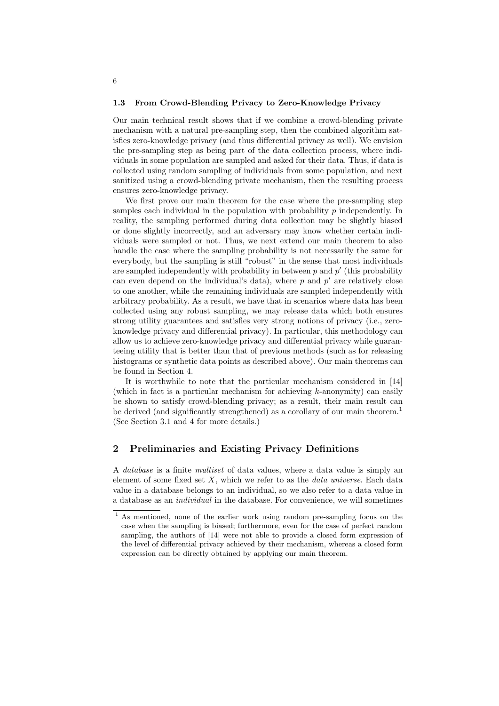#### 1.3 From Crowd-Blending Privacy to Zero-Knowledge Privacy

Our main technical result shows that if we combine a crowd-blending private mechanism with a natural pre-sampling step, then the combined algorithm satisfies zero-knowledge privacy (and thus differential privacy as well). We envision the pre-sampling step as being part of the data collection process, where individuals in some population are sampled and asked for their data. Thus, if data is collected using random sampling of individuals from some population, and next sanitized using a crowd-blending private mechanism, then the resulting process ensures zero-knowledge privacy.

We first prove our main theorem for the case where the pre-sampling step samples each individual in the population with probability  $p$  independently. In reality, the sampling performed during data collection may be slightly biased or done slightly incorrectly, and an adversary may know whether certain individuals were sampled or not. Thus, we next extend our main theorem to also handle the case where the sampling probability is not necessarily the same for everybody, but the sampling is still "robust" in the sense that most individuals are sampled independently with probability in between  $p$  and  $p'$  (this probability can even depend on the individual's data), where  $p$  and  $p'$  are relatively close to one another, while the remaining individuals are sampled independently with arbitrary probability. As a result, we have that in scenarios where data has been collected using any robust sampling, we may release data which both ensures strong utility guarantees and satisfies very strong notions of privacy (i.e., zeroknowledge privacy and differential privacy). In particular, this methodology can allow us to achieve zero-knowledge privacy and differential privacy while guaranteeing utility that is better than that of previous methods (such as for releasing histograms or synthetic data points as described above). Our main theorems can be found in Section 4.

It is worthwhile to note that the particular mechanism considered in [14] (which in fact is a particular mechanism for achieving  $k$ -anonymity) can easily be shown to satisfy crowd-blending privacy; as a result, their main result can be derived (and significantly strengthened) as a corollary of our main theorem.<sup>1</sup> (See Section 3.1 and 4 for more details.)

# 2 Preliminaries and Existing Privacy Definitions

A database is a finite multiset of data values, where a data value is simply an element of some fixed set  $X$ , which we refer to as the *data universe*. Each data value in a database belongs to an individual, so we also refer to a data value in a database as an individual in the database. For convenience, we will sometimes

<sup>&</sup>lt;sup>1</sup> As mentioned, none of the earlier work using random pre-sampling focus on the case when the sampling is biased; furthermore, even for the case of perfect random sampling, the authors of [14] were not able to provide a closed form expression of the level of differential privacy achieved by their mechanism, whereas a closed form expression can be directly obtained by applying our main theorem.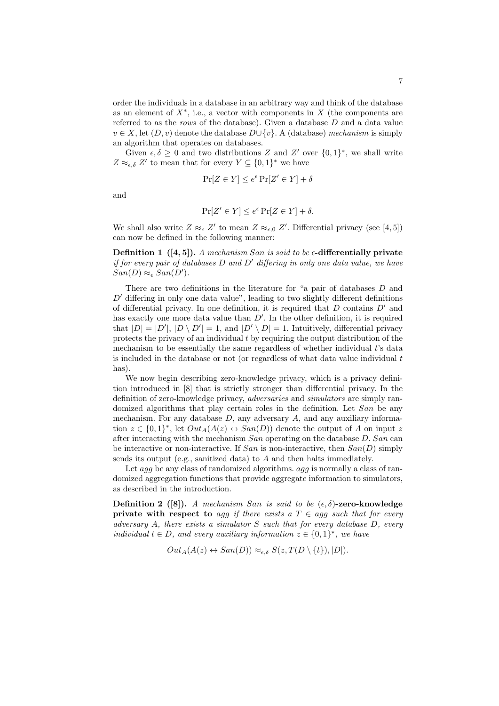order the individuals in a database in an arbitrary way and think of the database as an element of  $X^*$ , i.e., a vector with components in X (the components are referred to as the rows of the database). Given a database  $D$  and a data value  $v \in X$ , let  $(D, v)$  denote the database  $D \cup \{v\}$ . A (database) mechanism is simply an algorithm that operates on databases.

Given  $\epsilon, \delta \geq 0$  and two distributions Z and Z' over  $\{0,1\}^*$ , we shall write  $Z \approx_{\epsilon,\delta} Z'$  to mean that for every  $Y \subseteq \{0,1\}^*$  we have

$$
\Pr[Z \in Y] \leq e^\epsilon \Pr[Z' \in Y] + \delta
$$

and

$$
\Pr[Z' \in Y] \le e^{\epsilon} \Pr[Z \in Y] + \delta.
$$

We shall also write  $Z \approx_{\epsilon} Z'$  to mean  $Z \approx_{\epsilon,0} Z'$ . Differential privacy (see [4,5]) can now be defined in the following manner:

**Definition 1** ([4, 5]). A mechanism San is said to be  $\epsilon$ -differentially private if for every pair of databases  $D$  and  $D'$  differing in only one data value, we have  $San(D) \approx_{\epsilon} San(D')$ .

There are two definitions in the literature for "a pair of databases D and  $D'$  differing in only one data value", leading to two slightly different definitions of differential privacy. In one definition, it is required that  $D$  contains  $D'$  and has exactly one more data value than  $D'$ . In the other definition, it is required that  $|D| = |D'|$ ,  $|D \setminus D'| = 1$ , and  $|D' \setminus D| = 1$ . Intuitively, differential privacy protects the privacy of an individual  $t$  by requiring the output distribution of the mechanism to be essentially the same regardless of whether individual  $t$ 's data is included in the database or not (or regardless of what data value individual  $t$ has).

We now begin describing zero-knowledge privacy, which is a privacy definition introduced in [8] that is strictly stronger than differential privacy. In the definition of zero-knowledge privacy, adversaries and simulators are simply randomized algorithms that play certain roles in the definition. Let San be any mechanism. For any database  $D$ , any adversary  $A$ , and any auxiliary information  $z \in \{0,1\}^*$ , let  $Out_A(A(z) \leftrightarrow San(D))$  denote the output of A on input z after interacting with the mechanism San operating on the database D. San can be interactive or non-interactive. If San is non-interactive, then  $San(D)$  simply sends its output (e.g., sanitized data) to A and then halts immediately.

Let *agg* be any class of randomized algorithms. *agg* is normally a class of randomized aggregation functions that provide aggregate information to simulators, as described in the introduction.

**Definition 2** ([8]). A mechanism San is said to be  $(\epsilon, \delta)$ -zero-knowledge private with respect to agg if there exists a  $T \in agg$  such that for every adversary A, there exists a simulator S such that for every database  $D$ , every individual  $t \in D$ , and every auxiliary information  $z \in \{0,1\}^*$ , we have

$$
Out_A(A(z) \leftrightarrow San(D)) \approx_{\epsilon, \delta} S(z, T(D \setminus \{t\}), |D|).
$$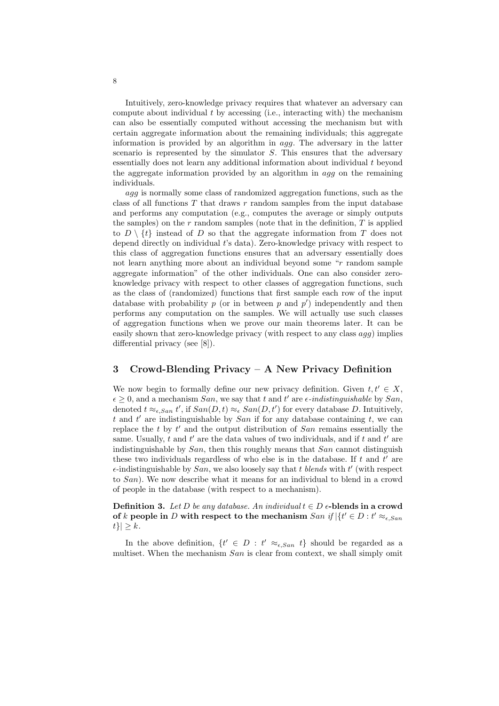Intuitively, zero-knowledge privacy requires that whatever an adversary can compute about individual  $t$  by accessing (i.e., interacting with) the mechanism can also be essentially computed without accessing the mechanism but with certain aggregate information about the remaining individuals; this aggregate information is provided by an algorithm in  $a\ddot{q}q$ . The adversary in the latter scenario is represented by the simulator  $S$ . This ensures that the adversary essentially does not learn any additional information about individual t beyond the aggregate information provided by an algorithm in  $aqq$  on the remaining individuals.

agg is normally some class of randomized aggregation functions, such as the class of all functions  $T$  that draws  $r$  random samples from the input database and performs any computation (e.g., computes the average or simply outputs the samples) on the  $r$  random samples (note that in the definition,  $T$  is applied to  $D \setminus \{t\}$  instead of D so that the aggregate information from T does not depend directly on individual t's data). Zero-knowledge privacy with respect to this class of aggregation functions ensures that an adversary essentially does not learn anything more about an individual beyond some "r random sample aggregate information" of the other individuals. One can also consider zeroknowledge privacy with respect to other classes of aggregation functions, such as the class of (randomized) functions that first sample each row of the input database with probability  $p$  (or in between  $p$  and  $p'$ ) independently and then performs any computation on the samples. We will actually use such classes of aggregation functions when we prove our main theorems later. It can be easily shown that zero-knowledge privacy (with respect to any class  $agg)$  implies differential privacy (see [8]).

### 3 Crowd-Blending Privacy – A New Privacy Definition

We now begin to formally define our new privacy definition. Given  $t, t' \in X$ ,  $\epsilon \geq 0$ , and a mechanism San, we say that t and t' are  $\epsilon$ -indistinguishable by San, denoted  $t \approx_{\epsilon, San} t'$ , if  $San(D, t) \approx_{\epsilon} San(D, t')$  for every database D. Intuitively, t and  $t'$  are indistinguishable by San if for any database containing t, we can replace the  $t$  by  $t'$  and the output distribution of  $San$  remains essentially the same. Usually, t and  $t'$  are the data values of two individuals, and if t and  $t'$  are indistinguishable by  $San$ , then this roughly means that  $San$  cannot distinguish these two individuals regardless of who else is in the database. If  $t$  and  $t'$  are  $\epsilon$ -indistinguishable by San, we also loosely say that t blends with t' (with respect to San). We now describe what it means for an individual to blend in a crowd of people in the database (with respect to a mechanism).

**Definition 3.** Let D be any database. An individual  $t \in D$   $\epsilon$ -blends in a crowd of k people in D with respect to the mechanism  $San \; if \; | \{ t' \in D : t' \approx_{\epsilon, San} \}$  $|t\rangle| \geq k$ .

In the above definition,  $\{t' \in D : t' \approx_{\epsilon, San} t\}$  should be regarded as a multiset. When the mechanism San is clear from context, we shall simply omit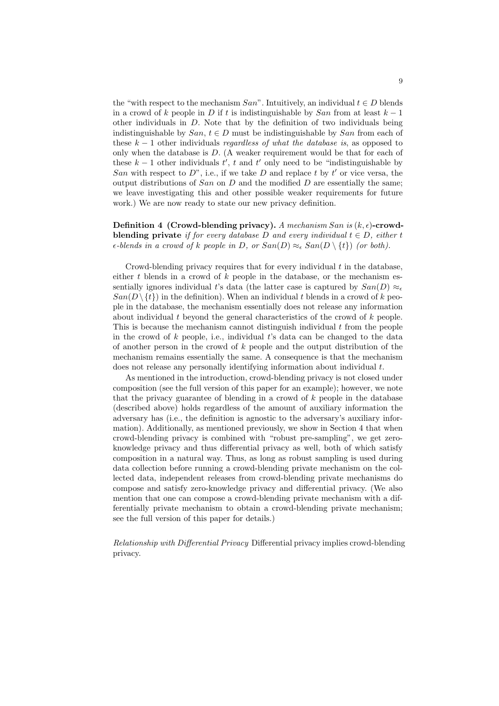the "with respect to the mechanism  $San$ ". Intuitively, an individual  $t \in D$  blends in a crowd of k people in D if t is indistinguishable by  $San$  from at least  $k-1$ other individuals in D. Note that by the definition of two individuals being indistinguishable by  $San, t \in D$  must be indistinguishable by  $San$  from each of these  $k-1$  other individuals *regardless of what the database is*, as opposed to only when the database is  $D$ . (A weaker requirement would be that for each of these  $k-1$  other individuals  $t'$ ,  $t$  and  $t'$  only need to be "indistinguishable by San with respect to  $D^{\nu}$ , i.e., if we take D and replace t by  $t'$  or vice versa, the output distributions of  $San$  on  $D$  and the modified  $D$  are essentially the same; we leave investigating this and other possible weaker requirements for future work.) We are now ready to state our new privacy definition.

Definition 4 (Crowd-blending privacy). A mechanism San is  $(k, \epsilon)$ -crowdblending private if for every database D and every individual  $t \in D$ , either t  $\epsilon$ -blends in a crowd of k people in D, or  $San(D) \approx_{\epsilon} San(D \setminus \{t\})$  (or both).

Crowd-blending privacy requires that for every individual  $t$  in the database, either t blends in a crowd of  $k$  people in the database, or the mechanism essentially ignores individual t's data (the latter case is captured by  $San(D) \approx_e$  $San(D \setminus \{t\})$  in the definition). When an individual t blends in a crowd of k people in the database, the mechanism essentially does not release any information about individual  $t$  beyond the general characteristics of the crowd of  $k$  people. This is because the mechanism cannot distinguish individual t from the people in the crowd of  $k$  people, i.e., individual  $t$ 's data can be changed to the data of another person in the crowd of  $k$  people and the output distribution of the mechanism remains essentially the same. A consequence is that the mechanism does not release any personally identifying information about individual t.

As mentioned in the introduction, crowd-blending privacy is not closed under composition (see the full version of this paper for an example); however, we note that the privacy guarantee of blending in a crowd of  $k$  people in the database (described above) holds regardless of the amount of auxiliary information the adversary has (i.e., the definition is agnostic to the adversary's auxiliary information). Additionally, as mentioned previously, we show in Section 4 that when crowd-blending privacy is combined with "robust pre-sampling", we get zeroknowledge privacy and thus differential privacy as well, both of which satisfy composition in a natural way. Thus, as long as robust sampling is used during data collection before running a crowd-blending private mechanism on the collected data, independent releases from crowd-blending private mechanisms do compose and satisfy zero-knowledge privacy and differential privacy. (We also mention that one can compose a crowd-blending private mechanism with a differentially private mechanism to obtain a crowd-blending private mechanism; see the full version of this paper for details.)

Relationship with Differential Privacy Differential privacy implies crowd-blending privacy.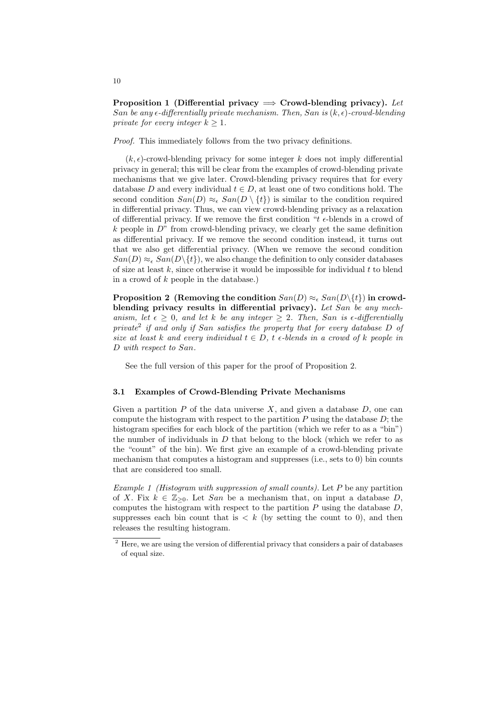Proposition 1 (Differential privacy  $\implies$  Crowd-blending privacy). Let San be any  $\epsilon$ -differentially private mechanism. Then, San is  $(k, \epsilon)$ -crowd-blending private for every integer  $k \geq 1$ .

Proof. This immediately follows from the two privacy definitions.

 $(k, \epsilon)$ -crowd-blending privacy for some integer k does not imply differential privacy in general; this will be clear from the examples of crowd-blending private mechanisms that we give later. Crowd-blending privacy requires that for every database D and every individual  $t \in D$ , at least one of two conditions hold. The second condition  $San(D) \approx_{\epsilon} San(D \setminus \{t\})$  is similar to the condition required in differential privacy. Thus, we can view crowd-blending privacy as a relaxation of differential privacy. If we remove the first condition " $t \epsilon$ -blends in a crowd of  $k$  people in  $D^{\prime\prime}$  from crowd-blending privacy, we clearly get the same definition as differential privacy. If we remove the second condition instead, it turns out that we also get differential privacy. (When we remove the second condition  $San(D) \approx_{\epsilon} San(D \setminus \{t\})$ , we also change the definition to only consider databases of size at least  $k$ , since otherwise it would be impossible for individual  $t$  to blend in a crowd of  $k$  people in the database.)

Proposition 2 (Removing the condition  $San(D) \approx_{\epsilon} San(D \setminus \{t\})$  in crowdblending privacy results in differential privacy). Let  $San$  be any mechanism, let  $\epsilon \geq 0$ , and let k be any integer  $\geq 2$ . Then, San is  $\epsilon$ -differentially  $private<sup>2</sup>$  if and only if San satisfies the property that for every database  $D$  of size at least k and every individual  $t \in D$ ,  $t \in$ -blends in a crowd of k people in D with respect to San.

See the full version of this paper for the proof of Proposition 2.

### 3.1 Examples of Crowd-Blending Private Mechanisms

Given a partition  $P$  of the data universe  $X$ , and given a database  $D$ , one can compute the histogram with respect to the partition  $P$  using the database  $D$ ; the histogram specifies for each block of the partition (which we refer to as a "bin") the number of individuals in  $D$  that belong to the block (which we refer to as the "count" of the bin). We first give an example of a crowd-blending private mechanism that computes a histogram and suppresses (i.e., sets to 0) bin counts that are considered too small.

Example 1 (Histogram with suppression of small counts). Let P be any partition of X. Fix  $k \in \mathbb{Z}_{\geq 0}$ . Let San be a mechanism that, on input a database D, computes the histogram with respect to the partition  $P$  using the database  $D$ , suppresses each bin count that is  $\langle k \rangle$  (by setting the count to 0), and then releases the resulting histogram.

10

<sup>2</sup> Here, we are using the version of differential privacy that considers a pair of databases of equal size.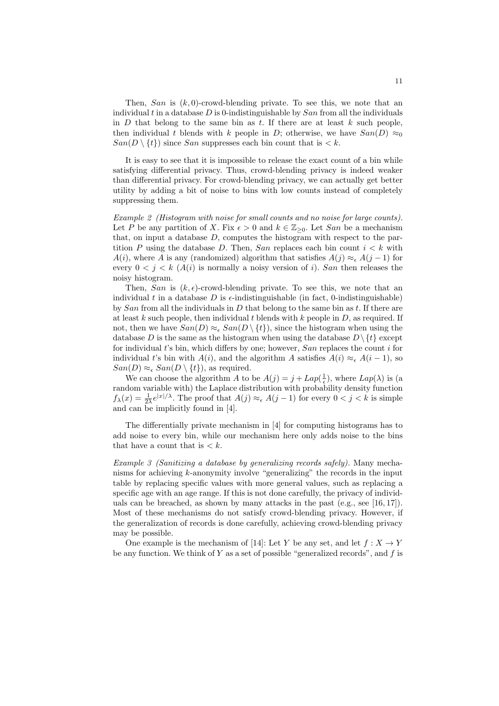Then, San is  $(k, 0)$ -crowd-blending private. To see this, we note that an individual t in a database  $D$  is 0-indistinguishable by  $San$  from all the individuals in  $D$  that belong to the same bin as  $t$ . If there are at least  $k$  such people, then individual t blends with k people in D; otherwise, we have  $San(D) \approx_0$  $San(D \setminus \{t\})$  since San suppresses each bin count that is  $\lt k$ .

It is easy to see that it is impossible to release the exact count of a bin while satisfying differential privacy. Thus, crowd-blending privacy is indeed weaker than differential privacy. For crowd-blending privacy, we can actually get better utility by adding a bit of noise to bins with low counts instead of completely suppressing them.

Example 2 (Histogram with noise for small counts and no noise for large counts). Let P be any partition of X. Fix  $\epsilon > 0$  and  $k \in \mathbb{Z}_{\geq 0}$ . Let San be a mechanism that, on input a database  $D$ , computes the histogram with respect to the partition P using the database D. Then, San replaces each bin count  $i < k$  with  $A(i)$ , where A is any (randomized) algorithm that satisfies  $A(j) \approx_{\epsilon} A(j-1)$  for every  $0 \leq j \leq k$  (A(i) is normally a noisy version of i). San then releases the noisy histogram.

Then, San is  $(k, \epsilon)$ -crowd-blending private. To see this, we note that an individual t in a database  $D$  is  $\epsilon$ -indistinguishable (in fact, 0-indistinguishable) by San from all the individuals in  $D$  that belong to the same bin as t. If there are at least  $k$  such people, then individual  $t$  blends with  $k$  people in  $D$ , as required. If not, then we have  $San(D) \approx_{\epsilon} San(D \setminus \{t\})$ , since the histogram when using the database D is the same as the histogram when using the database  $D \setminus \{t\}$  except for individual  $t$ 's bin, which differs by one; however,  $San$  replaces the count  $i$  for individual t's bin with  $A(i)$ , and the algorithm A satisfies  $A(i) \approx_{\epsilon} A(i-1)$ , so  $San(D) \approx_{\epsilon} San(D \setminus \{t\}),$  as required.

We can choose the algorithm A to be  $A(j) = j + Lap(\frac{1}{\epsilon})$ , where  $Lap(\lambda)$  is (a random variable with) the Laplace distribution with probability density function  $f_{\lambda}(x) = \frac{1}{2\lambda}e^{|x|/\lambda}$ . The proof that  $A(j) \approx_{\epsilon} A(j-1)$  for every  $0 < j < k$  is simple and can be implicitly found in [4].

The differentially private mechanism in [4] for computing histograms has to add noise to every bin, while our mechanism here only adds noise to the bins that have a count that is  $\lt k$ .

Example 3 (Sanitizing a database by generalizing records safely). Many mechanisms for achieving  $k$ -anonymity involve "generalizing" the records in the input table by replacing specific values with more general values, such as replacing a specific age with an age range. If this is not done carefully, the privacy of individuals can be breached, as shown by many attacks in the past  $(e.g., see [16, 17])$ . Most of these mechanisms do not satisfy crowd-blending privacy. However, if the generalization of records is done carefully, achieving crowd-blending privacy may be possible.

One example is the mechanism of [14]: Let Y be any set, and let  $f: X \to Y$ be any function. We think of  $Y$  as a set of possible "generalized records", and  $f$  is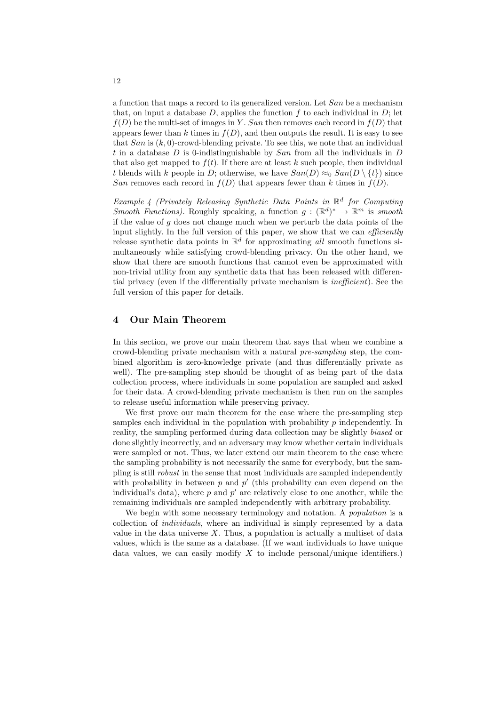a function that maps a record to its generalized version. Let San be a mechanism that, on input a database  $D$ , applies the function f to each individual in  $D$ ; let  $f(D)$  be the multi-set of images in Y. San then removes each record in  $f(D)$  that appears fewer than k times in  $f(D)$ , and then outputs the result. It is easy to see that San is  $(k, 0)$ -crowd-blending private. To see this, we note that an individual t in a database D is 0-indistinguishable by  $San$  from all the individuals in D that also get mapped to  $f(t)$ . If there are at least k such people, then individual t blends with k people in D; otherwise, we have  $San(D) \approx_0 San(D \setminus \{t\})$  since San removes each record in  $f(D)$  that appears fewer than k times in  $f(D)$ .

Example 4 (Privately Releasing Synthetic Data Points in  $\mathbb{R}^d$  for Computing Smooth Functions). Roughly speaking, a function  $g: (\mathbb{R}^d)^* \to \mathbb{R}^m$  is smooth if the value of  $g$  does not change much when we perturb the data points of the input slightly. In the full version of this paper, we show that we can efficiently release synthetic data points in  $\mathbb{R}^d$  for approximating all smooth functions simultaneously while satisfying crowd-blending privacy. On the other hand, we show that there are smooth functions that cannot even be approximated with non-trivial utility from any synthetic data that has been released with differential privacy (even if the differentially private mechanism is inefficient). See the full version of this paper for details.

### 4 Our Main Theorem

In this section, we prove our main theorem that says that when we combine a crowd-blending private mechanism with a natural pre-sampling step, the combined algorithm is zero-knowledge private (and thus differentially private as well). The pre-sampling step should be thought of as being part of the data collection process, where individuals in some population are sampled and asked for their data. A crowd-blending private mechanism is then run on the samples to release useful information while preserving privacy.

We first prove our main theorem for the case where the pre-sampling step samples each individual in the population with probability  $p$  independently. In reality, the sampling performed during data collection may be slightly biased or done slightly incorrectly, and an adversary may know whether certain individuals were sampled or not. Thus, we later extend our main theorem to the case where the sampling probability is not necessarily the same for everybody, but the sampling is still robust in the sense that most individuals are sampled independently with probability in between  $p$  and  $p'$  (this probability can even depend on the individual's data), where  $p$  and  $p'$  are relatively close to one another, while the remaining individuals are sampled independently with arbitrary probability.

We begin with some necessary terminology and notation. A *population* is a collection of individuals, where an individual is simply represented by a data value in the data universe  $X$ . Thus, a population is actually a multiset of data values, which is the same as a database. (If we want individuals to have unique data values, we can easily modify  $X$  to include personal/unique identifiers.)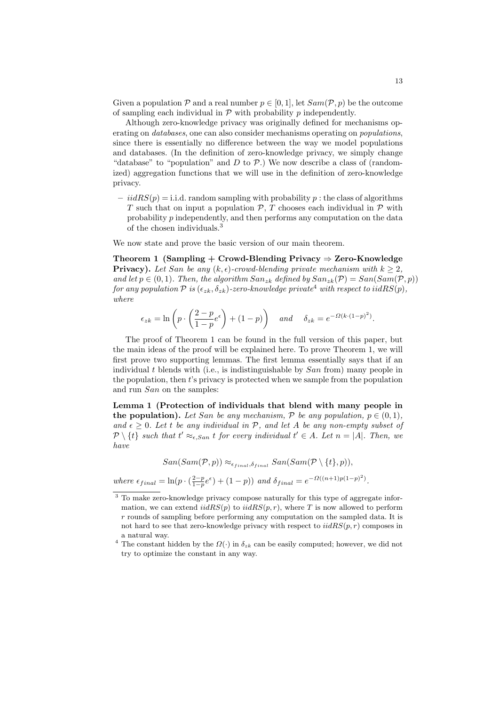Given a population P and a real number  $p \in [0, 1]$ , let  $Sam(\mathcal{P}, p)$  be the outcome of sampling each individual in  $P$  with probability  $p$  independently.

Although zero-knowledge privacy was originally defined for mechanisms operating on *databases*, one can also consider mechanisms operating on *populations*, since there is essentially no difference between the way we model populations and databases. (In the definition of zero-knowledge privacy, we simply change "database" to "population" and  $D$  to  $\mathcal{P}$ .) We now describe a class of (randomized) aggregation functions that we will use in the definition of zero-knowledge privacy.

 $-$  iid $RS(p) = i.i.d.$  random sampling with probability p : the class of algorithms T such that on input a population  $P$ , T chooses each individual in  $P$  with probability  $p$  independently, and then performs any computation on the data of the chosen individuals.<sup>3</sup>

We now state and prove the basic version of our main theorem.

Theorem 1 (Sampling + Crowd-Blending Privacy  $\Rightarrow$  Zero-Knowledge **Privacy).** Let San be any  $(k, \epsilon)$ -crowd-blending private mechanism with  $k \geq 2$ , and let  $p \in (0, 1)$ . Then, the algorithm  $San_{zk}$  defined by  $San_{zk}(P) = San(Sam(P, p))$ for any population  $P$  is  $(\epsilon_{z_k}, \delta_{z_k})$ -zero-knowledge private<sup>4</sup> with respect to iid $RS(p)$ , where

$$
\epsilon_{zk} = \ln\left(p \cdot \left(\frac{2-p}{1-p}e^{\epsilon}\right) + (1-p)\right) \quad \text{and} \quad \delta_{zk} = e^{-\Omega(k \cdot (1-p)^2)}.
$$

The proof of Theorem 1 can be found in the full version of this paper, but the main ideas of the proof will be explained here. To prove Theorem 1, we will first prove two supporting lemmas. The first lemma essentially says that if an individual t blends with (i.e., is indistinguishable by  $San$  from) many people in the population, then t's privacy is protected when we sample from the population and run San on the samples:

Lemma 1 (Protection of individuals that blend with many people in the population). Let San be any mechanism,  $P$  be any population,  $p \in (0,1)$ , and  $\epsilon > 0$ . Let t be any individual in P, and let A be any non-empty subset of  $\mathcal{P}\setminus\{t\}$  such that  $t' \approx_{\epsilon,San} t$  for every individual  $t' \in A$ . Let  $n = |A|$ . Then, we have

 $San(Sam(\mathcal{P}, p)) \approx_{\epsilon_{final}, \delta_{final}} San(Sam(\mathcal{P} \setminus \{t\}, p)),$ 

where  $\epsilon_{final} = \ln(p \cdot (\frac{2-p}{1-p}e^{\epsilon}) + (1-p))$  and  $\delta_{final} = e^{-\Omega((n+1)p(1-p)^2)}$ .

<sup>3</sup> To make zero-knowledge privacy compose naturally for this type of aggregate information, we can extend  $iidRS(p)$  to  $iidRS(p,r)$ , where T is now allowed to perform r rounds of sampling before performing any computation on the sampled data. It is not hard to see that zero-knowledge privacy with respect to  $iidRS(p, r)$  composes in a natural way.

<sup>&</sup>lt;sup>4</sup> The constant hidden by the  $\Omega(\cdot)$  in  $\delta_{zk}$  can be easily computed; however, we did not try to optimize the constant in any way.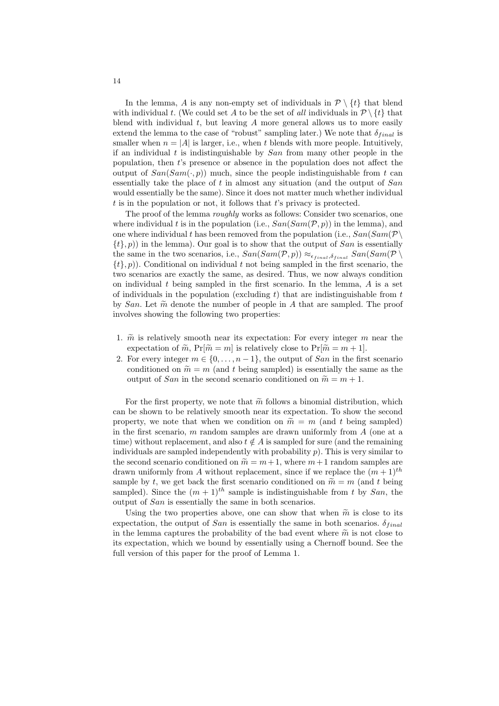In the lemma, A is any non-empty set of individuals in  $\mathcal{P} \setminus \{t\}$  that blend with individual t. (We could set A to be the set of all individuals in  $\mathcal{P} \setminus \{t\}$  that blend with individual  $t$ , but leaving  $A$  more general allows us to more easily extend the lemma to the case of "robust" sampling later.) We note that  $\delta_{final}$  is smaller when  $n = |A|$  is larger, i.e., when t blends with more people. Intuitively, if an individual t is indistinguishable by  $San$  from many other people in the population, then t's presence or absence in the population does not affect the output of  $San(Sam(\cdot, p))$  much, since the people indistinguishable from t can essentially take the place of t in almost any situation (and the output of  $San$ would essentially be the same). Since it does not matter much whether individual  $t$  is in the population or not, it follows that  $t$ 's privacy is protected.

The proof of the lemma roughly works as follows: Consider two scenarios, one where individual t is in the population (i.e.,  $San(Sam(\mathcal{P}, p))$ ) in the lemma), and one where individual t has been removed from the population (i.e.,  $San(Sam(\mathcal{P} \setminus$  $\{t\}, p$ ) in the lemma). Our goal is to show that the output of San is essentially the same in the two scenarios, i.e.,  $San(Sam(\mathcal{P}, p)) \approx_{\epsilon_{final}, \delta_{final}} San(Sam(\mathcal{P} \setminus$  $\{t\}, p$ ). Conditional on individual t not being sampled in the first scenario, the two scenarios are exactly the same, as desired. Thus, we now always condition on individual  $t$  being sampled in the first scenario. In the lemma,  $A$  is a set of individuals in the population (excluding t) that are indistinguishable from  $t$ by San. Let  $\tilde{m}$  denote the number of people in A that are sampled. The proof involves showing the following two properties:

- 1.  $\tilde{m}$  is relatively smooth near its expectation: For every integer m near the expectation of  $\widetilde{m}$ ,  $Pr[\widetilde{m} = m]$  is relatively close to  $Pr[\widetilde{m} = m + 1]$ .
- 2. For every integer  $m \in \{0, \ldots, n-1\}$ , the output of San in the first scenario conditioned on  $\widetilde{m} = m$  (and t being sampled) is essentially the same as the output of San in the second scenario conditioned on  $\tilde{m} = m + 1$ .

For the first property, we note that  $\widetilde{m}$  follows a binomial distribution, which can be shown to be relatively smooth near its expectation. To show the second property, we note that when we condition on  $\tilde{m} = m$  (and t being sampled) in the first scenario,  $m$  random samples are drawn uniformly from  $A$  (one at a time) without replacement, and also  $t \notin A$  is sampled for sure (and the remaining individuals are sampled independently with probability  $p$ ). This is very similar to the second scenario conditioned on  $\tilde{m} = m + 1$ , where  $m + 1$  random samples are drawn uniformly from A without replacement, since if we replace the  $(m+1)^{th}$ sample by t, we get back the first scenario conditioned on  $\tilde{m} = m$  (and t being sampled). Since the  $(m+1)^{th}$  sample is indistinguishable from t by San, the output of San is essentially the same in both scenarios.

Using the two properties above, one can show that when  $\tilde{m}$  is close to its expectation, the output of San is essentially the same in both scenarios.  $\delta_{final}$ in the lemma captures the probability of the bad event where  $\tilde{m}$  is not close to its expectation, which we bound by essentially using a Chernoff bound. See the full version of this paper for the proof of Lemma 1.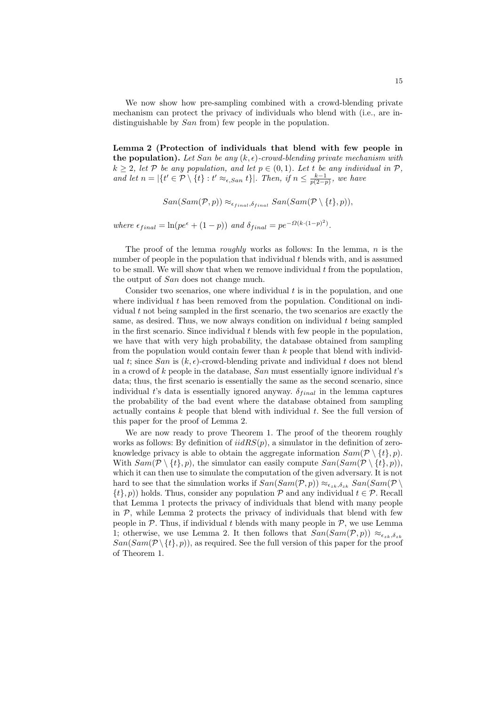We now show how pre-sampling combined with a crowd-blending private mechanism can protect the privacy of individuals who blend with (i.e., are indistinguishable by San from) few people in the population.

Lemma 2 (Protection of individuals that blend with few people in the population). Let San be any  $(k, \epsilon)$ -crowd-blending private mechanism with  $k \geq 2$ , let P be any population, and let  $p \in (0,1)$ . Let t be any individual in P, and let  $n = |\{t' \in \mathcal{P} \setminus \{t\} : t' \approx_{\epsilon, San} t\}|$ . Then, if  $n \leq \frac{k-1}{p(2-p)}$ , we have

 $San(Sam(\mathcal{P}, p)) \approx_{\epsilon_{final}, \delta_{final}} San(Sam(\mathcal{P} \setminus \{t\}, p)),$ 

where  $\epsilon_{final} = \ln(pe^{\epsilon} + (1-p))$  and  $\delta_{final} = pe^{-\Omega(k \cdot (1-p)^2)}$ .

The proof of the lemma *roughly* works as follows: In the lemma,  $n$  is the number of people in the population that individual  $t$  blends with, and is assumed to be small. We will show that when we remove individual  $t$  from the population, the output of San does not change much.

Consider two scenarios, one where individual  $t$  is in the population, and one where individual  $t$  has been removed from the population. Conditional on individual  $t$  not being sampled in the first scenario, the two scenarios are exactly the same, as desired. Thus, we now always condition on individual  $t$  being sampled in the first scenario. Since individual t blends with few people in the population, we have that with very high probability, the database obtained from sampling from the population would contain fewer than  $k$  people that blend with individual t; since San is  $(k, \epsilon)$ -crowd-blending private and individual t does not blend in a crowd of  $k$  people in the database,  $San$  must essentially ignore individual  $t$ 's data; thus, the first scenario is essentially the same as the second scenario, since individual t's data is essentially ignored anyway.  $\delta_{final}$  in the lemma captures the probability of the bad event where the database obtained from sampling actually contains  $k$  people that blend with individual  $t$ . See the full version of this paper for the proof of Lemma 2.

We are now ready to prove Theorem 1. The proof of the theorem roughly works as follows: By definition of  $iidRS(p)$ , a simulator in the definition of zeroknowledge privacy is able to obtain the aggregate information  $Sam(\mathcal{P} \setminus \{t\}, p)$ . With  $Sam(\mathcal{P} \setminus \{t\}, p)$ , the simulator can easily compute  $San(Sam(\mathcal{P} \setminus \{t\}, p))$ , which it can then use to simulate the computation of the given adversary. It is not hard to see that the simulation works if  $San(Sam(\mathcal{P}, p)) \approx_{\epsilon_{zk}, \delta_{zk}} San(Sam(\mathcal{P} \setminus \mathcal{P}))$  $\{t\}, p$ ) holds. Thus, consider any population P and any individual  $t \in \mathcal{P}$ . Recall that Lemma 1 protects the privacy of individuals that blend with many people in  $P$ , while Lemma 2 protects the privacy of individuals that blend with few people in  $P$ . Thus, if individual t blends with many people in  $P$ , we use Lemma 1; otherwise, we use Lemma 2. It then follows that  $San(Sam(\mathcal{P}, p)) \approx_{\epsilon_{z,k},\delta_{z,k}}$  $San(Sam(\mathcal{P} \setminus \{t\}, p))$ , as required. See the full version of this paper for the proof of Theorem 1.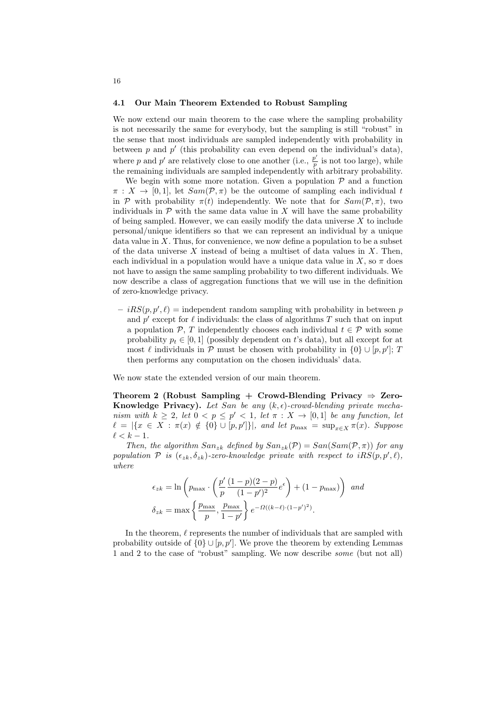#### 4.1 Our Main Theorem Extended to Robust Sampling

We now extend our main theorem to the case where the sampling probability is not necessarily the same for everybody, but the sampling is still "robust" in the sense that most individuals are sampled independently with probability in between  $p$  and  $p'$  (this probability can even depend on the individual's data), where p and p' are relatively close to one another (i.e.,  $\frac{p'}{p}$  $\frac{p}{p}$  is not too large), while the remaining individuals are sampled independently with arbitrary probability.

We begin with some more notation. Given a population  $\mathcal P$  and a function  $\pi : X \to [0, 1]$ , let  $Sam(\mathcal{P}, \pi)$  be the outcome of sampling each individual t in P with probability  $\pi(t)$  independently. We note that for  $Sam(\mathcal{P}, \pi)$ , two individuals in  $P$  with the same data value in X will have the same probability of being sampled. However, we can easily modify the data universe  $X$  to include personal/unique identifiers so that we can represent an individual by a unique data value in  $X$ . Thus, for convenience, we now define a population to be a subset of the data universe  $X$  instead of being a multiset of data values in  $X$ . Then, each individual in a population would have a unique data value in X, so  $\pi$  does not have to assign the same sampling probability to two different individuals. We now describe a class of aggregation functions that we will use in the definition of zero-knowledge privacy.

 $-iRS(p, p', \ell) =$  independent random sampling with probability in between p and  $p'$  except for  $\ell$  individuals: the class of algorithms  $T$  such that on input a population  $P$ , T independently chooses each individual  $t \in \mathcal{P}$  with some probability  $p_t \in [0, 1]$  (possibly dependent on t's data), but all except for at most  $\ell$  individuals in P must be chosen with probability in  $\{0\} \cup [p, p']$ ; T then performs any computation on the chosen individuals' data.

We now state the extended version of our main theorem.

Theorem 2 (Robust Sampling + Crowd-Blending Privacy  $\Rightarrow$  Zero-**Knowledge Privacy).** Let San be any  $(k, \epsilon)$ -crowd-blending private mechanism with  $k \geq 2$ , let  $0 < p \leq p' < 1$ , let  $\pi : X \to [0,1]$  be any function, let  $\ell = |\{x \in X : \pi(x) \notin \{0\} \cup [p, p']\}|$ , and let  $p_{\max} = \sup_{x \in X} \pi(x)$ . Suppose  $\ell < k - 1$ .

Then, the algorithm  $San_{zk}$  defined by  $San_{zk}(P) = San(Sam(P, \pi))$  for any population  $P$  is  $(\epsilon_{zk}, \delta_{zk})$ -zero-knowledge private with respect to  $iRS(p, p', \ell)$ , where

$$
\epsilon_{zk} = \ln\left(p_{\max} \cdot \left(\frac{p'}{p} \frac{(1-p)(2-p)}{(1-p')^2} e^{\epsilon}\right) + (1-p_{\max})\right) \text{ and}
$$

$$
\delta_{zk} = \max\left\{\frac{p_{\max}}{p}, \frac{p_{\max}}{1-p'}\right\} e^{-\Omega((k-\ell)\cdot(1-p')^2)}.
$$

In the theorem,  $\ell$  represents the number of individuals that are sampled with probability outside of  $\{0\} \cup [p, p']$ . We prove the theorem by extending Lemmas 1 and 2 to the case of "robust" sampling. We now describe some (but not all)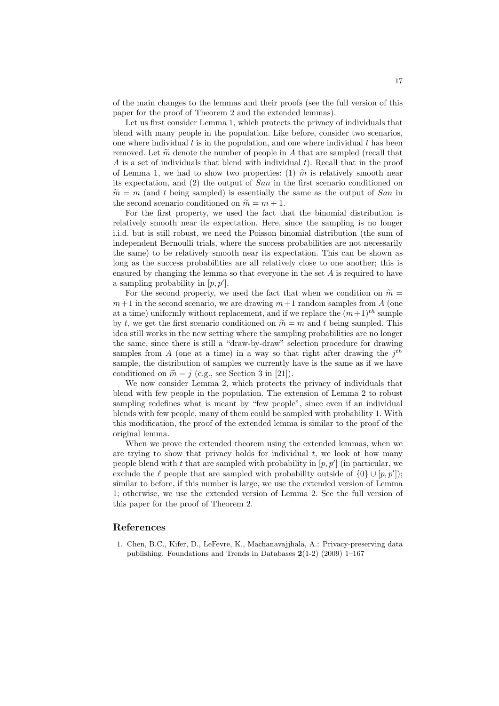of the main changes to the lemmas and their proofs (see the full version of this paper for the proof of Theorem 2 and the extended lemmas).

Let us first consider Lemma 1, which protects the privacy of individuals that blend with many people in the population. Like before, consider two scenarios, one where individual  $t$  is in the population, and one where individual  $t$  has been removed. Let  $\tilde{m}$  denote the number of people in A that are sampled (recall that  $A$  is a set of individuals that blend with individual  $t$ ). Recall that in the proof of Lemma 1, we had to show two properties: (1)  $\tilde{m}$  is relatively smooth near its expectation, and  $(2)$  the output of San in the first scenario conditioned on  $\widetilde{m} = m$  (and t being sampled) is essentially the same as the output of San in the second scenario conditioned on  $\widetilde{m} = m + 1$ .

For the first property, we used the fact that the binomial distribution is relatively smooth near its expectation. Here, since the sampling is no longer i.i.d. but is still robust, we need the Poisson binomial distribution (the sum of independent Bernoulli trials, where the success probabilities are not necessarily the same) to be relatively smooth near its expectation. This can be shown as long as the success probabilities are all relatively close to one another; this is ensured by changing the lemma so that everyone in the set  $A$  is required to have a sampling probability in  $[p, p']$ .

For the second property, we used the fact that when we condition on  $\widetilde{m} =$  $m+1$  in the second scenario, we are drawing  $m+1$  random samples from A (one at a time) uniformly without replacement, and if we replace the  $(m+1)^{th}$  sample by t, we get the first scenario conditioned on  $\widetilde{m} = m$  and t being sampled. This idea still works in the new setting where the sampling probabilities are no longer the same, since there is still a "draw-by-draw" selection procedure for drawing samples from A (one at a time) in a way so that right after drawing the  $j<sup>th</sup>$ sample, the distribution of samples we currently have is the same as if we have conditioned on  $\widetilde{m} = j$  (e.g., see Section 3 in [21]).

We now consider Lemma 2, which protects the privacy of individuals that blend with few people in the population. The extension of Lemma 2 to robust sampling redefines what is meant by "few people", since even if an individual blends with few people, many of them could be sampled with probability 1. With this modification, the proof of the extended lemma is similar to the proof of the original lemma.

When we prove the extended theorem using the extended lemmas, when we are trying to show that privacy holds for individual  $t$ , we look at how many people blend with t that are sampled with probability in  $[p, p']$  (in particular, we exclude the  $\ell$  people that are sampled with probability outside of  $\{0\} \cup [p, p']$ ; similar to before, if this number is large, we use the extended version of Lemma 1; otherwise, we use the extended version of Lemma 2. See the full version of this paper for the proof of Theorem 2.

### References

1. Chen, B.C., Kifer, D., LeFevre, K., Machanavajjhala, A.: Privacy-preserving data publishing. Foundations and Trends in Databases  $2(1-2)$  (2009) 1–167